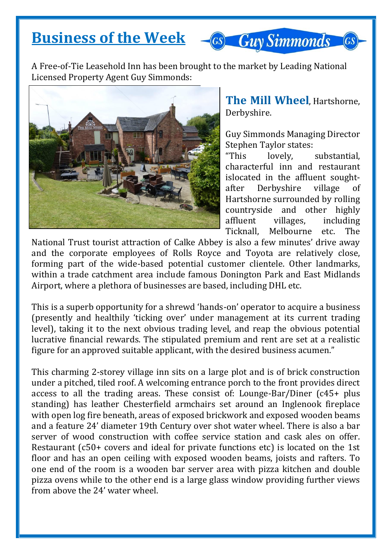## **Business of the Week**

**GS Guy Simmonds** 

A Free-of-Tie Leasehold Inn has been brought to the market by Leading National Licensed Property Agent Guy Simmonds:



**The Mill Wheel**, Hartshorne, Derbyshire.

Guy Simmonds Managing Director Stephen Taylor states:

"This lovely, substantial, characterful inn and restaurant islocated in the affluent soughtafter Derbyshire village of Hartshorne surrounded by rolling countryside and other highly affluent villages, including Ticknall, Melbourne etc. The

National Trust tourist attraction of Calke Abbey is also a few minutes' drive away and the corporate employees of Rolls Royce and Toyota are relatively close, forming part of the wide-based potential customer clientele. Other landmarks, within a trade catchment area include famous Donington Park and East Midlands Airport, where a plethora of businesses are based, including DHL etc.

This is a superb opportunity for a shrewd 'hands-on' operator to acquire a business (presently and healthily 'ticking over' under management at its current trading level), taking it to the next obvious trading level, and reap the obvious potential lucrative financial rewards. The stipulated premium and rent are set at a realistic figure for an approved suitable applicant, with the desired business acumen."

This charming 2-storey village inn sits on a large plot and is of brick construction under a pitched, tiled roof. A welcoming entrance porch to the front provides direct access to all the trading areas. These consist of: Lounge-Bar/Diner (c45+ plus standing) has leather Chesterfield armchairs set around an Inglenook fireplace with open log fire beneath, areas of exposed brickwork and exposed wooden beams and a feature 24' diameter 19th Century over shot water wheel. There is also a bar server of wood construction with coffee service station and cask ales on offer. Restaurant (c50+ covers and ideal for private functions etc) is located on the 1st floor and has an open ceiling with exposed wooden beams, joists and rafters. To one end of the room is a wooden bar server area with pizza kitchen and double pizza ovens while to the other end is a large glass window providing further views from above the 24' water wheel.